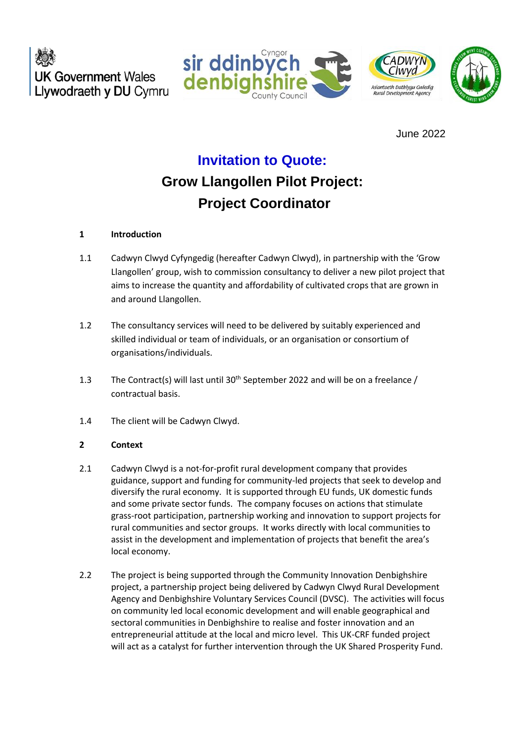**UK Government Wales** Llywodraeth y DU Cymru





June 2022

# **Invitation to Quote:**

# **Grow Llangollen Pilot Project: Project Coordinator**

## **1 Introduction**

- 1.1 Cadwyn Clwyd Cyfyngedig (hereafter Cadwyn Clwyd), in partnership with the 'Grow Llangollen' group, wish to commission consultancy to deliver a new pilot project that aims to increase the quantity and affordability of cultivated crops that are grown in and around Llangollen.
- 1.2 The consultancy services will need to be delivered by suitably experienced and skilled individual or team of individuals, or an organisation or consortium of organisations/individuals.
- 1.3 The Contract(s) will last until  $30<sup>th</sup>$  September 2022 and will be on a freelance / contractual basis.
- 1.4 The client will be Cadwyn Clwyd.

## **2 Context**

- 2.1 Cadwyn Clwyd is a not-for-profit rural development company that provides guidance, support and funding for community-led projects that seek to develop and diversify the rural economy. It is supported through EU funds, UK domestic funds and some private sector funds. The company focuses on actions that stimulate grass-root participation, partnership working and innovation to support projects for rural communities and sector groups. It works directly with local communities to assist in the development and implementation of projects that benefit the area's local economy.
- 2.2 The project is being supported through the Community Innovation Denbighshire project, a partnership project being delivered by Cadwyn Clwyd Rural Development Agency and Denbighshire Voluntary Services Council (DVSC). The activities will focus on community led local economic development and will enable geographical and sectoral communities in Denbighshire to realise and foster innovation and an entrepreneurial attitude at the local and micro level. This UK-CRF funded project will act as a catalyst for further intervention through the UK Shared Prosperity Fund.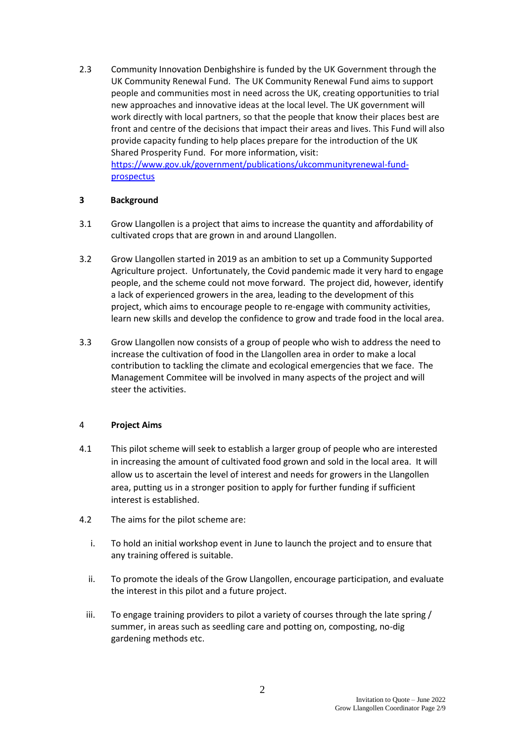2.3 Community Innovation Denbighshire is funded by the UK Government through the UK Community Renewal Fund. The UK Community Renewal Fund aims to support people and communities most in need across the UK, creating opportunities to trial new approaches and innovative ideas at the local level. The UK government will work directly with local partners, so that the people that know their places best are front and centre of the decisions that impact their areas and lives. This Fund will also provide capacity funding to help places prepare for the introduction of the UK Shared Prosperity Fund. For more information, visit: [https://www.gov.uk/government/publications/ukcommunityrenewal-fund-](https://www.gov.uk/government/publications/ukcommunityrenewal-fund-prospectus)

[prospectus](https://www.gov.uk/government/publications/ukcommunityrenewal-fund-prospectus)

## **3 Background**

- 3.1 Grow Llangollen is a project that aims to increase the quantity and affordability of cultivated crops that are grown in and around Llangollen.
- 3.2 Grow Llangollen started in 2019 as an ambition to set up a Community Supported Agriculture project. Unfortunately, the Covid pandemic made it very hard to engage people, and the scheme could not move forward. The project did, however, identify a lack of experienced growers in the area, leading to the development of this project, which aims to encourage people to re-engage with community activities, learn new skills and develop the confidence to grow and trade food in the local area.
- 3.3 Grow Llangollen now consists of a group of people who wish to address the need to increase the cultivation of food in the Llangollen area in order to make a local contribution to tackling the climate and ecological emergencies that we face. The Management Commitee will be involved in many aspects of the project and will steer the activities.

## 4 **Project Aims**

- 4.1 This pilot scheme will seek to establish a larger group of people who are interested in increasing the amount of cultivated food grown and sold in the local area. It will allow us to ascertain the level of interest and needs for growers in the Llangollen area, putting us in a stronger position to apply for further funding if sufficient interest is established.
- 4.2 The aims for the pilot scheme are:
	- i. To hold an initial workshop event in June to launch the project and to ensure that any training offered is suitable.
	- ii. To promote the ideals of the Grow Llangollen, encourage participation, and evaluate the interest in this pilot and a future project.
	- iii. To engage training providers to pilot a variety of courses through the late spring / summer, in areas such as seedling care and potting on, composting, no-dig gardening methods etc.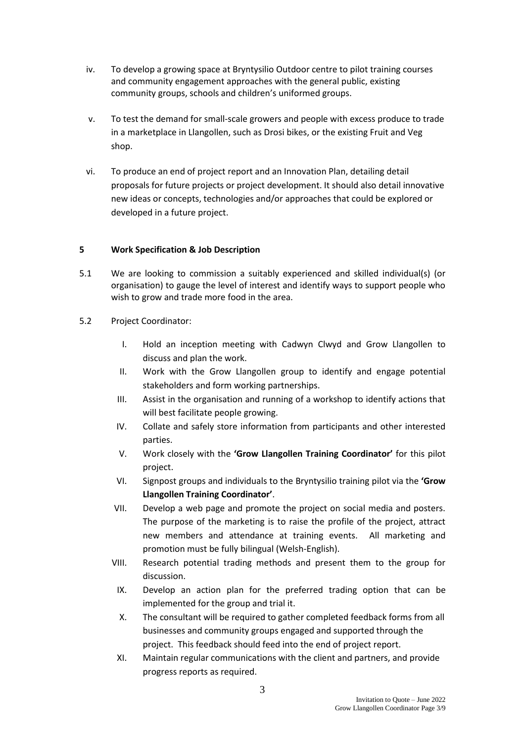- iv. To develop a growing space at Bryntysilio Outdoor centre to pilot training courses and community engagement approaches with the general public, existing community groups, schools and children's uniformed groups.
- v. To test the demand for small-scale growers and people with excess produce to trade in a marketplace in Llangollen, such as Drosi bikes, or the existing Fruit and Veg shop.
- vi. To produce an end of project report and an Innovation Plan, detailing detail proposals for future projects or project development. It should also detail innovative new ideas or concepts, technologies and/or approaches that could be explored or developed in a future project.

## **5 Work Specification & Job Description**

- 5.1 We are looking to commission a suitably experienced and skilled individual(s) (or organisation) to gauge the level of interest and identify ways to support people who wish to grow and trade more food in the area.
- 5.2 Project Coordinator:
	- I. Hold an inception meeting with Cadwyn Clwyd and Grow Llangollen to discuss and plan the work.
	- II. Work with the Grow Llangollen group to identify and engage potential stakeholders and form working partnerships.
	- III. Assist in the organisation and running of a workshop to identify actions that will best facilitate people growing.
	- IV. Collate and safely store information from participants and other interested parties.
	- V. Work closely with the **'Grow Llangollen Training Coordinator'** for this pilot project.
	- VI. Signpost groups and individuals to the Bryntysilio training pilot via the **'Grow Llangollen Training Coordinator'**.
	- VII. Develop a web page and promote the project on social media and posters. The purpose of the marketing is to raise the profile of the project, attract new members and attendance at training events. All marketing and promotion must be fully bilingual (Welsh-English).
	- VIII. Research potential trading methods and present them to the group for discussion.
	- IX. Develop an action plan for the preferred trading option that can be implemented for the group and trial it.
	- X. The consultant will be required to gather completed feedback forms from all businesses and community groups engaged and supported through the project. This feedback should feed into the end of project report.
	- XI. Maintain regular communications with the client and partners, and provide progress reports as required.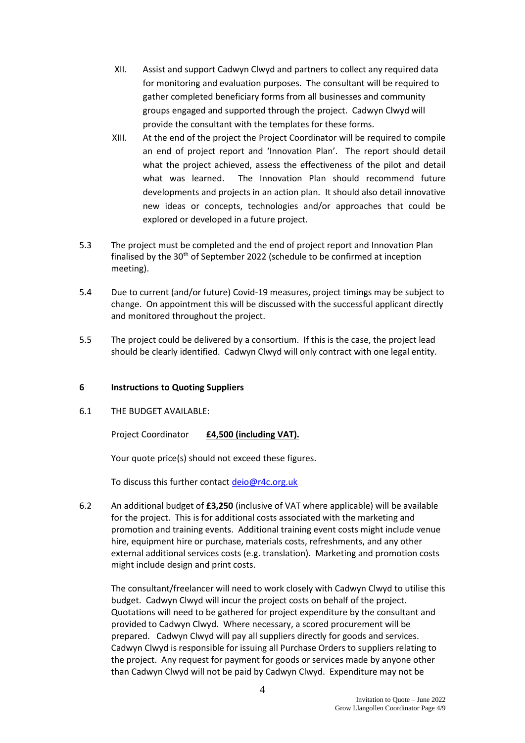- XII. Assist and support Cadwyn Clwyd and partners to collect any required data for monitoring and evaluation purposes. The consultant will be required to gather completed beneficiary forms from all businesses and community groups engaged and supported through the project. Cadwyn Clwyd will provide the consultant with the templates for these forms.
- XIII. At the end of the project the Project Coordinator will be required to compile an end of project report and 'Innovation Plan'. The report should detail what the project achieved, assess the effectiveness of the pilot and detail what was learned. The Innovation Plan should recommend future developments and projects in an action plan. It should also detail innovative new ideas or concepts, technologies and/or approaches that could be explored or developed in a future project.
- 5.3 The project must be completed and the end of project report and Innovation Plan finalised by the  $30<sup>th</sup>$  of September 2022 (schedule to be confirmed at inception meeting).
- 5.4 Due to current (and/or future) Covid-19 measures, project timings may be subject to change. On appointment this will be discussed with the successful applicant directly and monitored throughout the project.
- 5.5 The project could be delivered by a consortium. If this is the case, the project lead should be clearly identified. Cadwyn Clwyd will only contract with one legal entity.

#### **6 Instructions to Quoting Suppliers**

6.1 THE BUDGET AVAILABLE:

Project Coordinator **£4,500 (including VAT).**

Your quote price(s) should not exceed these figures.

To discuss this further contact [deio@r4c.org.uk](mailto:deio@r4c.org.uk)

6.2 An additional budget of **£3,250** (inclusive of VAT where applicable) will be available for the project. This is for additional costs associated with the marketing and promotion and training events. Additional training event costs might include venue hire, equipment hire or purchase, materials costs, refreshments, and any other external additional services costs (e.g. translation). Marketing and promotion costs might include design and print costs.

The consultant/freelancer will need to work closely with Cadwyn Clwyd to utilise this budget. Cadwyn Clwyd will incur the project costs on behalf of the project. Quotations will need to be gathered for project expenditure by the consultant and provided to Cadwyn Clwyd. Where necessary, a scored procurement will be prepared. Cadwyn Clwyd will pay all suppliers directly for goods and services. Cadwyn Clwyd is responsible for issuing all Purchase Orders to suppliers relating to the project. Any request for payment for goods or services made by anyone other than Cadwyn Clwyd will not be paid by Cadwyn Clwyd. Expenditure may not be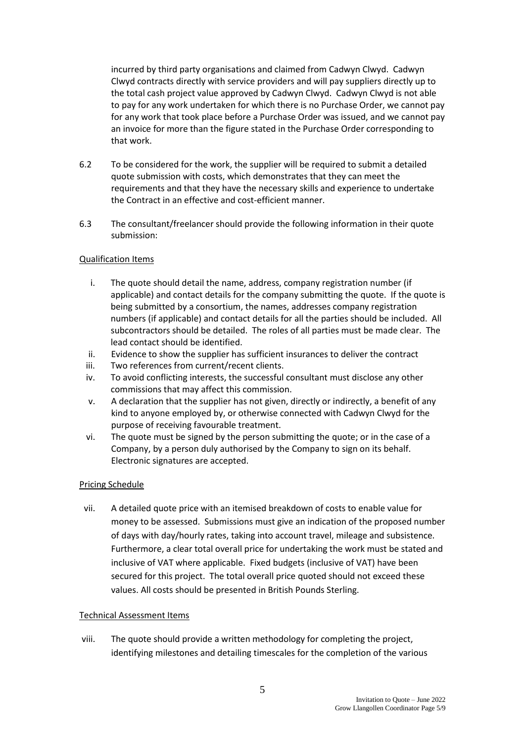incurred by third party organisations and claimed from Cadwyn Clwyd. Cadwyn Clwyd contracts directly with service providers and will pay suppliers directly up to the total cash project value approved by Cadwyn Clwyd. Cadwyn Clwyd is not able to pay for any work undertaken for which there is no Purchase Order, we cannot pay for any work that took place before a Purchase Order was issued, and we cannot pay an invoice for more than the figure stated in the Purchase Order corresponding to that work.

- 6.2 To be considered for the work, the supplier will be required to submit a detailed quote submission with costs, which demonstrates that they can meet the requirements and that they have the necessary skills and experience to undertake the Contract in an effective and cost-efficient manner.
- 6.3 The consultant/freelancer should provide the following information in their quote submission:

#### Qualification Items

- i. The quote should detail the name, address, company registration number (if applicable) and contact details for the company submitting the quote. If the quote is being submitted by a consortium, the names, addresses company registration numbers (if applicable) and contact details for all the parties should be included. All subcontractors should be detailed. The roles of all parties must be made clear. The lead contact should be identified.
- ii. Evidence to show the supplier has sufficient insurances to deliver the contract
- iii. Two references from current/recent clients.
- iv. To avoid conflicting interests, the successful consultant must disclose any other commissions that may affect this commission.
- v. A declaration that the supplier has not given, directly or indirectly, a benefit of any kind to anyone employed by, or otherwise connected with Cadwyn Clwyd for the purpose of receiving favourable treatment.
- vi. The quote must be signed by the person submitting the quote; or in the case of a Company, by a person duly authorised by the Company to sign on its behalf. Electronic signatures are accepted.

#### Pricing Schedule

vii. A detailed quote price with an itemised breakdown of costs to enable value for money to be assessed. Submissions must give an indication of the proposed number of days with day/hourly rates, taking into account travel, mileage and subsistence. Furthermore, a clear total overall price for undertaking the work must be stated and inclusive of VAT where applicable. Fixed budgets (inclusive of VAT) have been secured for this project. The total overall price quoted should not exceed these values. All costs should be presented in British Pounds Sterling.

#### Technical Assessment Items

viii. The quote should provide a written methodology for completing the project, identifying milestones and detailing timescales for the completion of the various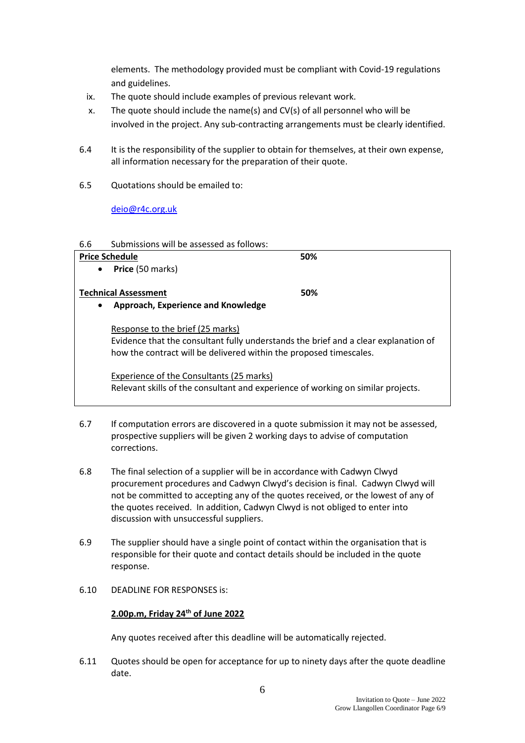elements. The methodology provided must be compliant with Covid-19 regulations and guidelines.

- ix. The quote should include examples of previous relevant work.
- x. The quote should include the name(s) and CV(s) of all personnel who will be involved in the project. Any sub-contracting arrangements must be clearly identified.
- 6.4 It is the responsibility of the supplier to obtain for themselves, at their own expense, all information necessary for the preparation of their quote.
- 6.5 Quotations should be emailed to:

[deio@r4c.org.uk](mailto:deio@r4c.org.uk)

#### 6.6 Submissions will be assessed as follows:

#### Price Schedule **50%**

• **Price** (50 marks)

## **Technical Assessment 50%**

• **Approach, Experience and Knowledge** 

Response to the brief (25 marks) Evidence that the consultant fully understands the brief and a clear explanation of how the contract will be delivered within the proposed timescales.

### Experience of the Consultants (25 marks)

Relevant skills of the consultant and experience of working on similar projects.

- 6.7 If computation errors are discovered in a quote submission it may not be assessed, prospective suppliers will be given 2 working days to advise of computation corrections.
- 6.8 The final selection of a supplier will be in accordance with Cadwyn Clwyd procurement procedures and Cadwyn Clwyd's decision is final. Cadwyn Clwyd will not be committed to accepting any of the quotes received, or the lowest of any of the quotes received. In addition, Cadwyn Clwyd is not obliged to enter into discussion with unsuccessful suppliers.
- 6.9 The supplier should have a single point of contact within the organisation that is responsible for their quote and contact details should be included in the quote response.
- 6.10 DEADLINE FOR RESPONSES is:

## **2.00p.m, Friday 24th of June 2022**

Any quotes received after this deadline will be automatically rejected.

6.11 Quotes should be open for acceptance for up to ninety days after the quote deadline date.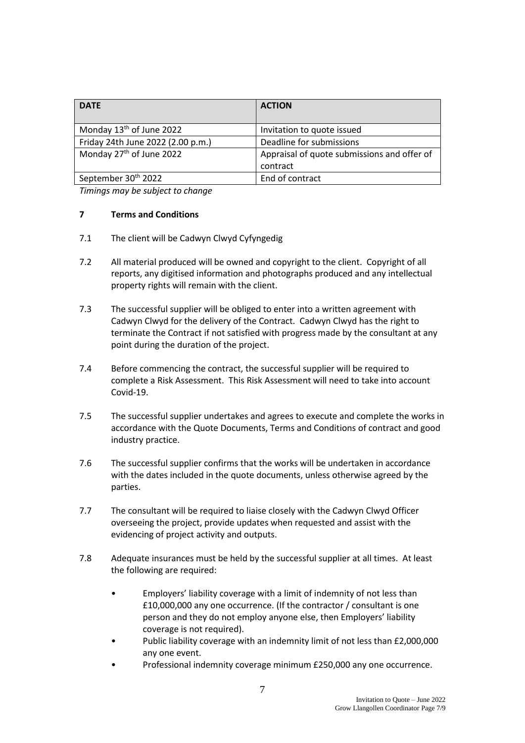| <b>DATE</b>                          | <b>ACTION</b>                               |
|--------------------------------------|---------------------------------------------|
| Monday 13 <sup>th</sup> of June 2022 | Invitation to quote issued                  |
| Friday 24th June 2022 (2.00 p.m.)    | Deadline for submissions                    |
| Monday 27 <sup>th</sup> of June 2022 | Appraisal of quote submissions and offer of |
|                                      | contract                                    |
| September 30th 2022                  | End of contract                             |

*Timings may be subject to change*

#### **7 Terms and Conditions**

- 7.1 The client will be Cadwyn Clwyd Cyfyngedig
- 7.2 All material produced will be owned and copyright to the client. Copyright of all reports, any digitised information and photographs produced and any intellectual property rights will remain with the client.
- 7.3 The successful supplier will be obliged to enter into a written agreement with Cadwyn Clwyd for the delivery of the Contract. Cadwyn Clwyd has the right to terminate the Contract if not satisfied with progress made by the consultant at any point during the duration of the project.
- 7.4 Before commencing the contract, the successful supplier will be required to complete a Risk Assessment. This Risk Assessment will need to take into account Covid-19.
- 7.5 The successful supplier undertakes and agrees to execute and complete the works in accordance with the Quote Documents, Terms and Conditions of contract and good industry practice.
- 7.6 The successful supplier confirms that the works will be undertaken in accordance with the dates included in the quote documents, unless otherwise agreed by the parties.
- 7.7 The consultant will be required to liaise closely with the Cadwyn Clwyd Officer overseeing the project, provide updates when requested and assist with the evidencing of project activity and outputs.
- 7.8 Adequate insurances must be held by the successful supplier at all times. At least the following are required:
	- Employers' liability coverage with a limit of indemnity of not less than £10,000,000 any one occurrence. (If the contractor / consultant is one person and they do not employ anyone else, then Employers' liability coverage is not required).
	- Public liability coverage with an indemnity limit of not less than £2,000,000 any one event.
	- Professional indemnity coverage minimum £250,000 any one occurrence.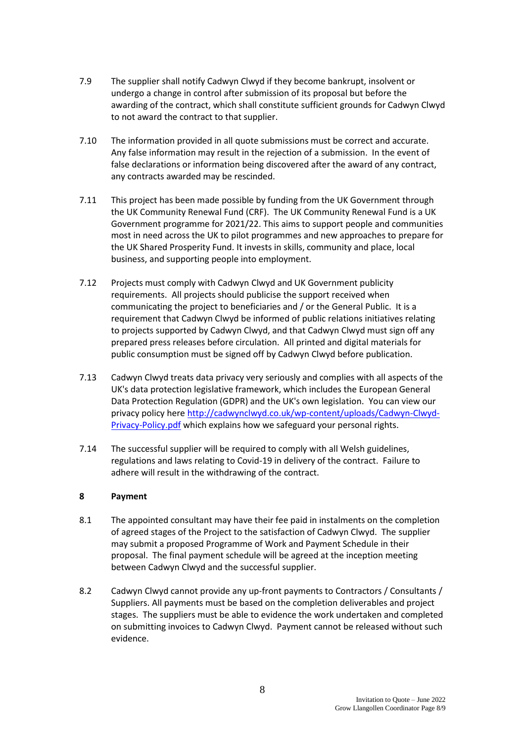- 7.9 The supplier shall notify Cadwyn Clwyd if they become bankrupt, insolvent or undergo a change in control after submission of its proposal but before the awarding of the contract, which shall constitute sufficient grounds for Cadwyn Clwyd to not award the contract to that supplier.
- 7.10 The information provided in all quote submissions must be correct and accurate. Any false information may result in the rejection of a submission. In the event of false declarations or information being discovered after the award of any contract, any contracts awarded may be rescinded.
- 7.11 This project has been made possible by funding from the UK Government through the UK Community Renewal Fund (CRF). The UK Community Renewal Fund is a UK Government programme for 2021/22. This aims to support people and communities most in need across the UK to pilot programmes and new approaches to prepare for the UK Shared Prosperity Fund. It invests in skills, community and place, local business, and supporting people into employment.
- 7.12 Projects must comply with Cadwyn Clwyd and UK Government publicity requirements. All projects should publicise the support received when communicating the project to beneficiaries and / or the General Public. It is a requirement that Cadwyn Clwyd be informed of public relations initiatives relating to projects supported by Cadwyn Clwyd, and that Cadwyn Clwyd must sign off any prepared press releases before circulation. All printed and digital materials for public consumption must be signed off by Cadwyn Clwyd before publication.
- 7.13 Cadwyn Clwyd treats data privacy very seriously and complies with all aspects of the UK's data protection legislative framework, which includes the European General Data Protection Regulation (GDPR) and the UK's own legislation. You can view our privacy policy here [http://cadwynclwyd.co.uk/wp-content/uploads/Cadwyn-Clwyd-](http://cadwynclwyd.co.uk/wp-content/uploads/Cadwyn-Clwyd-Privacy-Policy.pdf)[Privacy-Policy.pdf](http://cadwynclwyd.co.uk/wp-content/uploads/Cadwyn-Clwyd-Privacy-Policy.pdf) which explains how we safeguard your personal rights.
- 7.14 The successful supplier will be required to comply with all Welsh guidelines, regulations and laws relating to Covid-19 in delivery of the contract. Failure to adhere will result in the withdrawing of the contract.

#### **8 Payment**

- 8.1 The appointed consultant may have their fee paid in instalments on the completion of agreed stages of the Project to the satisfaction of Cadwyn Clwyd. The supplier may submit a proposed Programme of Work and Payment Schedule in their proposal. The final payment schedule will be agreed at the inception meeting between Cadwyn Clwyd and the successful supplier.
- 8.2 Cadwyn Clwyd cannot provide any up-front payments to Contractors / Consultants / Suppliers. All payments must be based on the completion deliverables and project stages. The suppliers must be able to evidence the work undertaken and completed on submitting invoices to Cadwyn Clwyd. Payment cannot be released without such evidence.